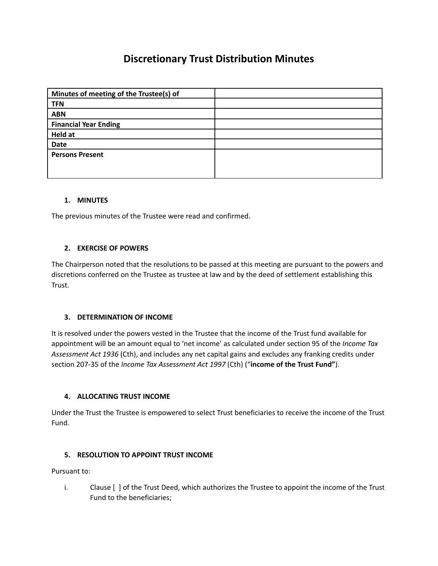# **Discretionary Trust Distribution Minutes**

| Minutes of meeting of the Trustee(s) of |  |
|-----------------------------------------|--|
| <b>TFN</b>                              |  |
| <b>ABN</b>                              |  |
| <b>Financial Year Ending</b>            |  |
| Held at                                 |  |
| <b>Date</b>                             |  |
| <b>Persons Present</b>                  |  |
|                                         |  |
|                                         |  |

## **1. MINUTES**

The previous minutes of the Trustee were read and confirmed.

## **2. EXERCISE OF POWERS**

The Chairperson noted that the resolutions to be passed at this meeting are pursuant to the powers and discretions conferred on the Trustee as trustee at law and by the deed of settlement establishing this Trust.

## **3. DETERMINATION OF INCOME**

It is resolved under the powers vested in the Trustee that the income of the Trust fund available for appointment will be an amount equal to 'net income' as calculated under section 95 of the *Income Tax Assessment Act 1936* (Cth), and includes any net capital gains and excludes any franking credits under section 207-35 of the *Income Tax Assessment Act 1997* (Cth) ("**income of the Trust Fund"**).

## **4. ALLOCATING TRUST INCOME**

Under the Trust the Trustee is empowered to select Trust beneficiaries to receive the income of the Trust Fund.

## **5. RESOLUTION TO APPOINT TRUST INCOME**

Pursuant to:

i. Clause [ ] of the Trust Deed, which authorizes the Trustee to appoint the income of the Trust Fund to the beneficiaries;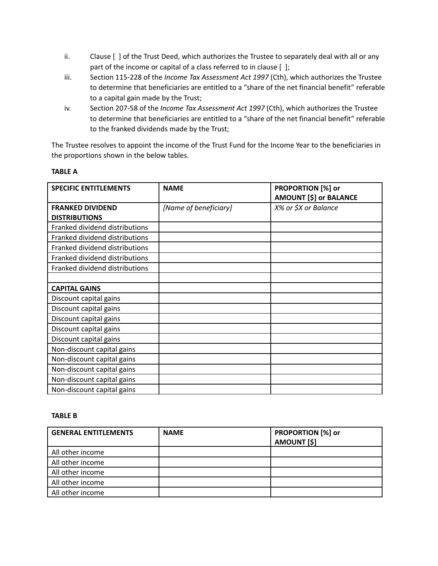- ii. Clause [ ] of the Trust Deed, which authorizes the Trustee to separately deal with all or any part of the income or capital of a class referred to in clause [ ];
- iii. Section 115-228 of the *Income Tax Assessment Act 1997* (Cth), which authorizes the Trustee to determine that beneficiaries are entitled to a "share of the net financial benefit" referable to a capital gain made by the Trust;
- iv. Section 207-58 of the *Income Tax Assessment Act 1997* (Cth), which authorizes the Trustee to determine that beneficiaries are entitled to a "share of the net financial benefit" referable to the franked dividends made by the Trust;

The Trustee resolves to appoint the income of the Trust Fund for the Income Year to the beneficiaries in the proportions shown in the below tables.

## **TABLE A**

| <b>SPECIFIC ENTITLEMENTS</b>   | <b>NAME</b>           | PROPORTION [%] or<br><b>AMOUNT [\$] or BALANCE</b> |
|--------------------------------|-----------------------|----------------------------------------------------|
| <b>FRANKED DIVIDEND</b>        | [Name of beneficiary] | X% or \$X or Balance                               |
| <b>DISTRIBUTIONS</b>           |                       |                                                    |
| Franked dividend distributions |                       |                                                    |
| Franked dividend distributions |                       |                                                    |
| Franked dividend distributions |                       |                                                    |
| Franked dividend distributions |                       |                                                    |
| Franked dividend distributions |                       |                                                    |
|                                |                       |                                                    |
| <b>CAPITAL GAINS</b>           |                       |                                                    |
| Discount capital gains         |                       |                                                    |
| Discount capital gains         |                       |                                                    |
| Discount capital gains         |                       |                                                    |
| Discount capital gains         |                       |                                                    |
| Discount capital gains         |                       |                                                    |
| Non-discount capital gains     |                       |                                                    |
| Non-discount capital gains     |                       |                                                    |
| Non-discount capital gains     |                       |                                                    |
| Non-discount capital gains     |                       |                                                    |
| Non-discount capital gains     |                       |                                                    |

#### **TABLE B**

| <b>GENERAL ENTITLEMENTS</b> | <b>NAME</b> | <b>PROPORTION [%] or</b><br><b>AMOUNT [\$]</b> |
|-----------------------------|-------------|------------------------------------------------|
| All other income            |             |                                                |
| All other income            |             |                                                |
| All other income            |             |                                                |
| All other income            |             |                                                |
| All other income            |             |                                                |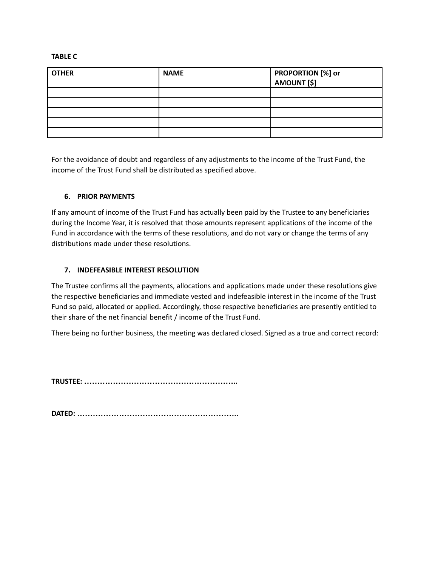#### **TABLE C**

| <b>OTHER</b> | <b>NAME</b> | PROPORTION [%] or<br>  AMOUNT [\$] |
|--------------|-------------|------------------------------------|
|              |             |                                    |
|              |             |                                    |
|              |             |                                    |
|              |             |                                    |
|              |             |                                    |
|              |             |                                    |

For the avoidance of doubt and regardless of any adjustments to the income of the Trust Fund, the income of the Trust Fund shall be distributed as specified above.

## **6. PRIOR PAYMENTS**

If any amount of income of the Trust Fund has actually been paid by the Trustee to any beneficiaries during the Income Year, it is resolved that those amounts represent applications of the income of the Fund in accordance with the terms of these resolutions, and do not vary or change the terms of any distributions made under these resolutions.

#### **7. INDEFEASIBLE INTEREST RESOLUTION**

The Trustee confirms all the payments, allocations and applications made under these resolutions give the respective beneficiaries and immediate vested and indefeasible interest in the income of the Trust Fund so paid, allocated or applied. Accordingly, those respective beneficiaries are presently entitled to their share of the net financial benefit / income of the Trust Fund.

There being no further business, the meeting was declared closed. Signed as a true and correct record:

**TRUSTEE: …………………………………………………..**

**DATED: ……………………………………………………..**